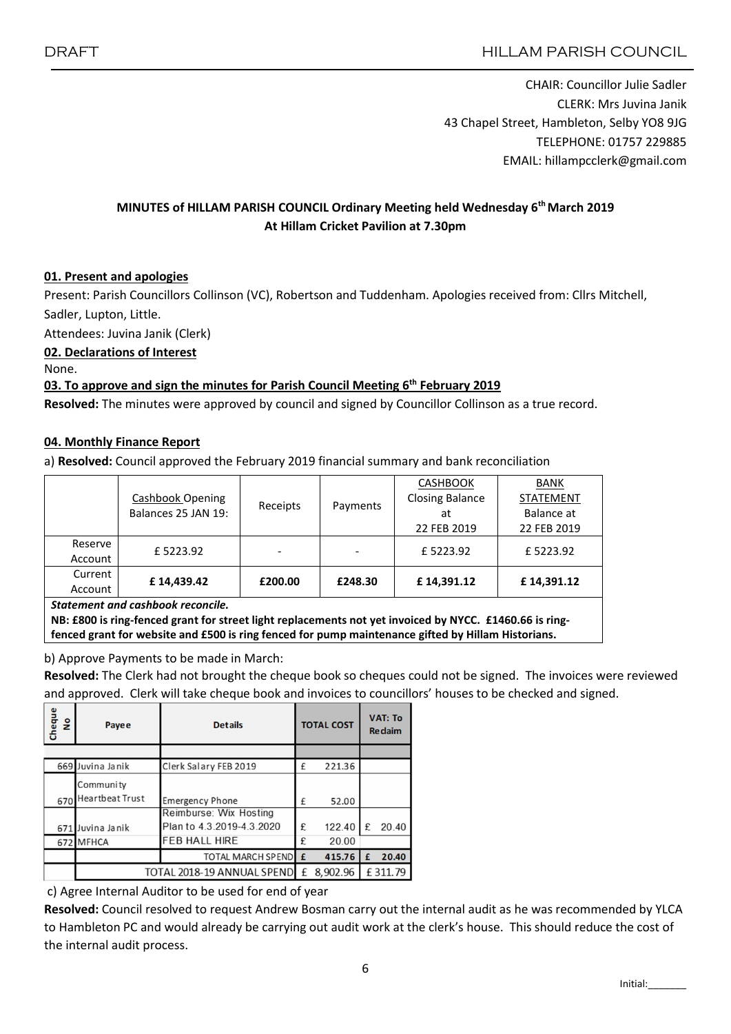CHAIR: Councillor Julie Sadler CLERK: Mrs Juvina Janik 43 Chapel Street, Hambleton, Selby YO8 9JG TELEPHONE: 01757 229885 EMAIL: hillampcclerk@gmail.com

#### MINUTES of HILLAM PARISH COUNCIL Ordinary Meeting held Wednesday 6th March 2019 At Hillam Cricket Pavilion at 7.30pm

#### 01. Present and apologies

Present: Parish Councillors Collinson (VC), Robertson and Tuddenham. Apologies received from: Cllrs Mitchell, Sadler, Lupton, Little.

Attendees: Juvina Janik (Clerk)

#### 02. Declarations of Interest

None.

#### 03. To approve and sign the minutes for Parish Council Meeting  $6<sup>th</sup>$  February 2019

Resolved: The minutes were approved by council and signed by Councillor Collinson as a true record.

#### 04. Monthly Finance Report

a) Resolved: Council approved the February 2019 financial summary and bank reconciliation

|                                   |                                                |          |          | <b>CASHBOOK</b>        | <b>BANK</b>      |  |  |  |  |
|-----------------------------------|------------------------------------------------|----------|----------|------------------------|------------------|--|--|--|--|
|                                   | <b>Cashbook Opening</b><br>Balances 25 JAN 19: | Receipts | Payments | <b>Closing Balance</b> | <b>STATEMENT</b> |  |  |  |  |
|                                   |                                                |          |          | at                     | Balance at       |  |  |  |  |
|                                   |                                                |          |          | 22 FEB 2019            | 22 FEB 2019      |  |  |  |  |
| Reserve                           | £5223.92                                       |          |          | £5223.92               | £5223.92         |  |  |  |  |
| Account                           |                                                |          |          |                        |                  |  |  |  |  |
| Current                           |                                                |          |          |                        |                  |  |  |  |  |
| Account                           | £14,439.42                                     | £200.00  | £248.30  | £14,391.12             | £14,391.12       |  |  |  |  |
| Statement and cashbook reconcile. |                                                |          |          |                        |                  |  |  |  |  |

NB: £800 is ring-fenced grant for street light replacements not yet invoiced by NYCC. £1460.66 is ringfenced grant for website and £500 is ring fenced for pump maintenance gifted by Hillam Historians.

b) Approve Payments to be made in March:

Resolved: The Clerk had not brought the cheque book so cheques could not be signed. The invoices were reviewed and approved. Clerk will take cheque book and invoices to councillors' houses to be checked and signed.

| Cheque<br>۽ | Payee                      | <b>Details</b>            | <b>TOTAL COST</b> |          | <b>VAT: To</b><br><b>Re</b> daim |         |
|-------------|----------------------------|---------------------------|-------------------|----------|----------------------------------|---------|
|             |                            |                           |                   |          |                                  |         |
|             | 669 Juvina Janik           | Clerk Salary FEB 2019     | £                 | 221.36   |                                  |         |
|             | Community                  |                           |                   |          |                                  |         |
| 670         | <b>Heartbeat Trust</b>     | <b>Emergency Phone</b>    | £                 | 52.00    |                                  |         |
|             |                            | Reimburse: Wix Hosting    |                   |          |                                  |         |
| 671         | Juvina Janik               | Plan to 4.3.2019-4.3.2020 | £                 | 122.40   | £                                | 20.40   |
|             | 672 MFHCA                  | <b>FEB HALL HIRE</b>      | £                 | 20.00    |                                  |         |
|             |                            | TOTAL MARCH SPENDE        |                   | 415.76   | £                                | 20.40   |
|             | TOTAL 2018-19 ANNUAL SPEND |                           |                   | 8,902.96 |                                  | £311.79 |

c) Agree Internal Auditor to be used for end of year

Resolved: Council resolved to request Andrew Bosman carry out the internal audit as he was recommended by YLCA to Hambleton PC and would already be carrying out audit work at the clerk's house. This should reduce the cost of the internal audit process.